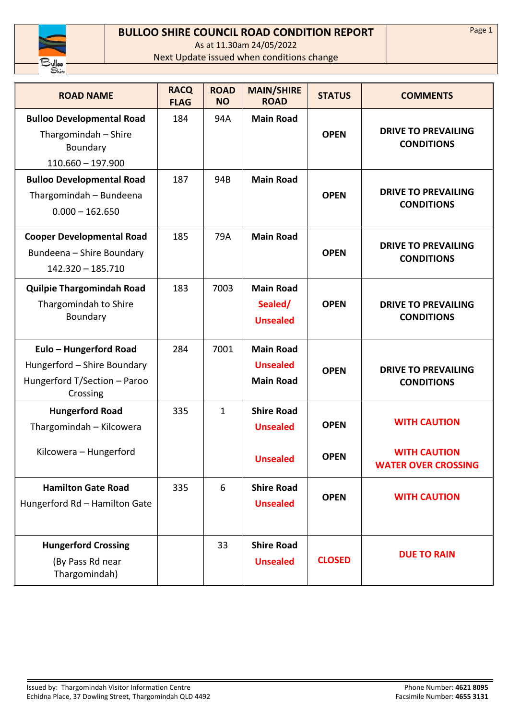

## **BULLOO SHIRE COUNCIL ROAD CONDITION REPORT**

As at 11.30am 24/05/2022

Next Update issued when conditions change

| <b>ROAD NAME</b>                                                                                  | <b>RACQ</b><br><b>FLAG</b> | <b>ROAD</b><br><b>NO</b> | <b>MAIN/SHIRE</b><br><b>ROAD</b>                        | <b>STATUS</b> | <b>COMMENTS</b>                                   |
|---------------------------------------------------------------------------------------------------|----------------------------|--------------------------|---------------------------------------------------------|---------------|---------------------------------------------------|
| <b>Bulloo Developmental Road</b><br>Thargomindah - Shire<br>Boundary<br>$110.660 - 197.900$       | 184                        | 94A                      | <b>Main Road</b>                                        | <b>OPEN</b>   | <b>DRIVE TO PREVAILING</b><br><b>CONDITIONS</b>   |
| <b>Bulloo Developmental Road</b><br>Thargomindah - Bundeena<br>$0.000 - 162.650$                  | 187                        | 94B                      | <b>Main Road</b>                                        | <b>OPEN</b>   | <b>DRIVE TO PREVAILING</b><br><b>CONDITIONS</b>   |
| <b>Cooper Developmental Road</b><br>Bundeena - Shire Boundary<br>$142.320 - 185.710$              | 185                        | 79A                      | <b>Main Road</b>                                        | <b>OPEN</b>   | <b>DRIVE TO PREVAILING</b><br><b>CONDITIONS</b>   |
| <b>Quilpie Thargomindah Road</b><br>Thargomindah to Shire<br>Boundary                             | 183                        | 7003                     | <b>Main Road</b><br>Sealed/<br><b>Unsealed</b>          | <b>OPEN</b>   | <b>DRIVE TO PREVAILING</b><br><b>CONDITIONS</b>   |
| Eulo - Hungerford Road<br>Hungerford - Shire Boundary<br>Hungerford T/Section - Paroo<br>Crossing | 284                        | 7001                     | <b>Main Road</b><br><b>Unsealed</b><br><b>Main Road</b> | <b>OPEN</b>   | <b>DRIVE TO PREVAILING</b><br><b>CONDITIONS</b>   |
| <b>Hungerford Road</b><br>Thargomindah - Kilcowera                                                | 335                        | 1                        | <b>Shire Road</b><br><b>Unsealed</b>                    | <b>OPEN</b>   | <b>WITH CAUTION</b>                               |
| Kilcowera - Hungerford                                                                            |                            |                          | <b>Unsealed</b>                                         | <b>OPEN</b>   | <b>WITH CAUTION</b><br><b>WATER OVER CROSSING</b> |
| <b>Hamilton Gate Road</b><br>Hungerford Rd - Hamilton Gate                                        | 335                        | 6                        | <b>Shire Road</b><br><b>Unsealed</b>                    | <b>OPEN</b>   | <b>WITH CAUTION</b>                               |
| <b>Hungerford Crossing</b><br>(By Pass Rd near<br>Thargomindah)                                   |                            | 33                       | <b>Shire Road</b><br><b>Unsealed</b>                    | <b>CLOSED</b> | <b>DUE TO RAIN</b>                                |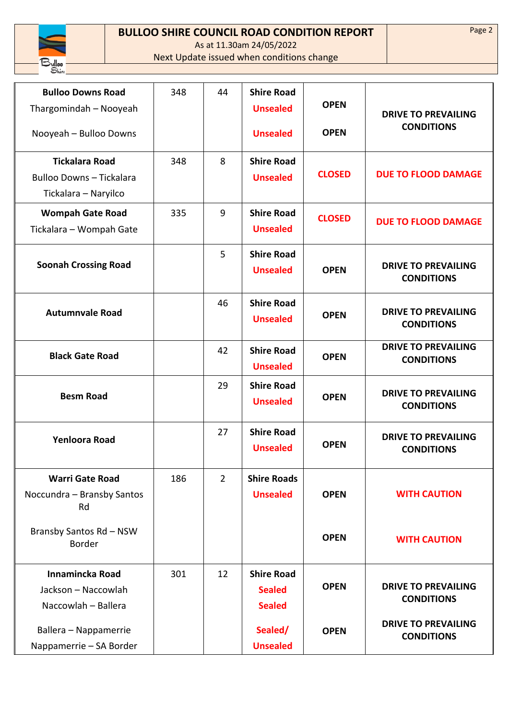

## **BULLOO SHIRE COUNCIL ROAD CONDITION REPORT**

As at 11.30am 24/05/2022

Next Update issued when conditions change

| <b>Bulloo Downs Road</b><br>Thargomindah - Nooyeah                        | 348 | 44             | <b>Shire Road</b><br><b>Unsealed</b>                | <b>OPEN</b>   | <b>DRIVE TO PREVAILING</b>                      |
|---------------------------------------------------------------------------|-----|----------------|-----------------------------------------------------|---------------|-------------------------------------------------|
| Nooyeah - Bulloo Downs                                                    |     |                | <b>Unsealed</b>                                     | <b>OPEN</b>   | <b>CONDITIONS</b>                               |
| <b>Tickalara Road</b><br>Bulloo Downs - Tickalara<br>Tickalara - Naryilco | 348 | 8              | <b>Shire Road</b><br><b>Unsealed</b>                | <b>CLOSED</b> | <b>DUE TO FLOOD DAMAGE</b>                      |
| <b>Wompah Gate Road</b><br>Tickalara - Wompah Gate                        | 335 | 9              | <b>Shire Road</b><br><b>Unsealed</b>                | <b>CLOSED</b> | <b>DUE TO FLOOD DAMAGE</b>                      |
| <b>Soonah Crossing Road</b>                                               |     | 5              | <b>Shire Road</b><br><b>Unsealed</b>                | <b>OPEN</b>   | <b>DRIVE TO PREVAILING</b><br><b>CONDITIONS</b> |
| <b>Autumnvale Road</b>                                                    |     | 46             | <b>Shire Road</b><br><b>Unsealed</b>                | <b>OPEN</b>   | <b>DRIVE TO PREVAILING</b><br><b>CONDITIONS</b> |
| <b>Black Gate Road</b>                                                    |     | 42             | <b>Shire Road</b><br><b>Unsealed</b>                | <b>OPEN</b>   | <b>DRIVE TO PREVAILING</b><br><b>CONDITIONS</b> |
| <b>Besm Road</b>                                                          |     | 29             | <b>Shire Road</b><br><b>Unsealed</b>                | <b>OPEN</b>   | <b>DRIVE TO PREVAILING</b><br><b>CONDITIONS</b> |
| <b>Yenloora Road</b>                                                      |     | 27             | <b>Shire Road</b><br><b>Unsealed</b>                | <b>OPEN</b>   | <b>DRIVE TO PREVAILING</b><br><b>CONDITIONS</b> |
| <b>Warri Gate Road</b><br>Noccundra - Bransby Santos<br>Rd                | 186 | $\overline{2}$ | <b>Shire Roads</b><br><b>Unsealed</b>               | <b>OPEN</b>   | <b>WITH CAUTION</b>                             |
| Bransby Santos Rd - NSW<br><b>Border</b>                                  |     |                |                                                     | <b>OPEN</b>   | <b>WITH CAUTION</b>                             |
| Innamincka Road<br>Jackson - Naccowlah<br>Naccowlah - Ballera             | 301 | 12             | <b>Shire Road</b><br><b>Sealed</b><br><b>Sealed</b> | <b>OPEN</b>   | <b>DRIVE TO PREVAILING</b><br><b>CONDITIONS</b> |
| Ballera - Nappamerrie<br>Nappamerrie - SA Border                          |     |                | Sealed/<br><b>Unsealed</b>                          | <b>OPEN</b>   | <b>DRIVE TO PREVAILING</b><br><b>CONDITIONS</b> |

Page 2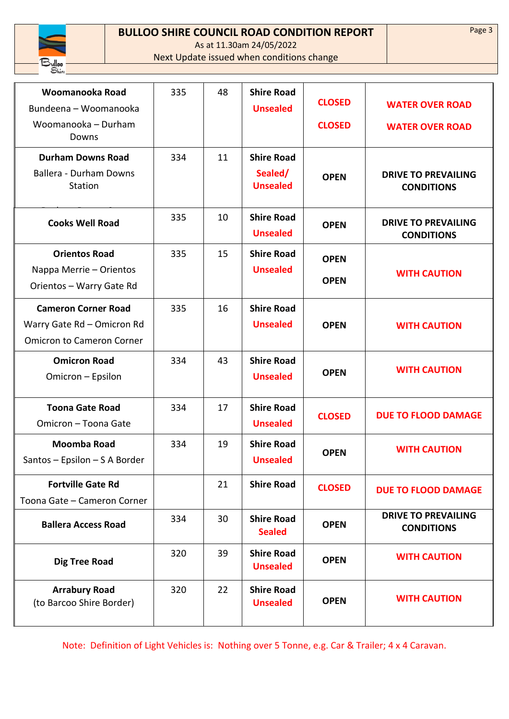

## **BULLOO SHIRE COUNCIL ROAD CONDITION REPORT**

As at 11.30am 24/05/2022

Next Update issued when conditions change

| Woomanooka Road<br>Bundeena - Woomanooka<br>Woomanooka - Durham<br>Downs                     | 335 | 48 | <b>Shire Road</b><br><b>Unsealed</b>            | <b>CLOSED</b><br><b>CLOSED</b> | <b>WATER OVER ROAD</b><br><b>WATER OVER ROAD</b> |
|----------------------------------------------------------------------------------------------|-----|----|-------------------------------------------------|--------------------------------|--------------------------------------------------|
| <b>Durham Downs Road</b><br>Ballera - Durham Downs<br><b>Station</b>                         | 334 | 11 | <b>Shire Road</b><br>Sealed/<br><b>Unsealed</b> | <b>OPEN</b>                    | <b>DRIVE TO PREVAILING</b><br><b>CONDITIONS</b>  |
| <b>Cooks Well Road</b>                                                                       | 335 | 10 | <b>Shire Road</b><br><b>Unsealed</b>            | <b>OPEN</b>                    | <b>DRIVE TO PREVAILING</b><br><b>CONDITIONS</b>  |
| <b>Orientos Road</b><br>Nappa Merrie - Orientos<br>Orientos - Warry Gate Rd                  | 335 | 15 | <b>Shire Road</b><br><b>Unsealed</b>            | <b>OPEN</b><br><b>OPEN</b>     | <b>WITH CAUTION</b>                              |
| <b>Cameron Corner Road</b><br>Warry Gate Rd - Omicron Rd<br><b>Omicron to Cameron Corner</b> | 335 | 16 | <b>Shire Road</b><br><b>Unsealed</b>            | <b>OPEN</b>                    | <b>WITH CAUTION</b>                              |
| <b>Omicron Road</b><br>Omicron - Epsilon                                                     | 334 | 43 | <b>Shire Road</b><br><b>Unsealed</b>            | <b>OPEN</b>                    | <b>WITH CAUTION</b>                              |
| <b>Toona Gate Road</b><br>Omicron - Toona Gate                                               | 334 | 17 | <b>Shire Road</b><br><b>Unsealed</b>            | <b>CLOSED</b>                  | <b>DUE TO FLOOD DAMAGE</b>                       |
| <b>Moomba Road</b><br>Santos - Epsilon - S A Border                                          | 334 | 19 | <b>Shire Road</b><br><b>Unsealed</b>            | <b>OPEN</b>                    | <b>WITH CAUTION</b>                              |
| <b>Fortville Gate Rd</b><br>Toona Gate - Cameron Corner                                      |     | 21 | <b>Shire Road</b>                               | <b>CLOSED</b>                  | <b>DUE TO FLOOD DAMAGE</b>                       |
| <b>Ballera Access Road</b>                                                                   | 334 | 30 | <b>Shire Road</b><br><b>Sealed</b>              | <b>OPEN</b>                    | <b>DRIVE TO PREVAILING</b><br><b>CONDITIONS</b>  |
| <b>Dig Tree Road</b>                                                                         | 320 | 39 | <b>Shire Road</b><br><b>Unsealed</b>            | <b>OPEN</b>                    | <b>WITH CAUTION</b>                              |
| <b>Arrabury Road</b><br>(to Barcoo Shire Border)                                             | 320 | 22 | <b>Shire Road</b><br><b>Unsealed</b>            | <b>OPEN</b>                    | <b>WITH CAUTION</b>                              |

Note: Definition of Light Vehicles is: Nothing over 5 Tonne, e.g. Car & Trailer; 4 x 4 Caravan.

Page 3